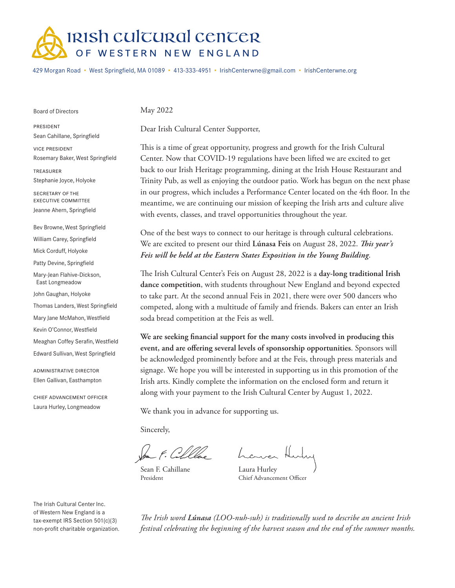

429 Morgan Road • West Springfield, MA 01089 • 413-333-4951 • IrishCenterwne@gmail.com • IrishCenterwne.org

Board of Directors

May 2022

president Sean Cahillane, Springfield

vice president Rosemary Baker, West Springfield

treasurer Stephanie Joyce, Holyoke

SECRETARY OF THE executive committee Jeanne Ahern, Springfield

Bev Browne, West Springfield William Carey, Springfield Mick Corduff, Holyoke Patty Devine, Springfield Mary-Jean Flahive-Dickson, East Longmeadow John Gaughan, Holyoke Thomas Landers, West Springfield Mary Jane McMahon, Westfield Kevin O'Connor, Westfield Meaghan Coffey Serafin, Westfield Edward Sullivan, West Springfield

administrative director Ellen Gallivan, Easthampton

chief advancement officer Laura Hurley, Longmeadow

Dear Irish Cultural Center Supporter,

This is a time of great opportunity, progress and growth for the Irish Cultural Center. Now that COVID-19 regulations have been lifted we are excited to get back to our Irish Heritage programming, dining at the Irish House Restaurant and Trinity Pub, as well as enjoying the outdoor patio. Work has begun on the next phase in our progress, which includes a Performance Center located on the 4th floor. In the meantime, we are continuing our mission of keeping the Irish arts and culture alive with events, classes, and travel opportunities throughout the year.

One of the best ways to connect to our heritage is through cultural celebrations. We are excited to present our third **Lúnasa Feis** on August 28, 2022. *This year's Feis will be held at the Eastern States Exposition in the Young Building*.

The Irish Cultural Center's Feis on August 28, 2022 is a **day-long traditional Irish dance competition**, with students throughout New England and beyond expected to take part. At the second annual Feis in 2021, there were over 500 dancers who competed, along with a multitude of family and friends. Bakers can enter an Irish soda bread competition at the Feis as well.

**We are seeking financial support for the many costs involved in producing this event, and are offering several levels of sponsorship opportunities**. Sponsors will be acknowledged prominently before and at the Feis, through press materials and signage. We hope you will be interested in supporting us in this promotion of the Irish arts. Kindly complete the information on the enclosed form and return it along with your payment to the Irish Cultural Center by August 1, 2022.

We thank you in advance for supporting us.

Sincerely,

San F. Collecte homen

Sean F. Cahillane President

Laura Hurley Chief Advancement Officer

The Irish Cultural Center Inc. of Western New England is a tax-exempt IRS Section 501(c)(3) non-profit charitable organization.

*The Irish word Lúnasa (LOO-nuh-suh) is traditionally used to describe an ancient Irish festival celebrating the beginning of the harvest season and the end of the summer months.*